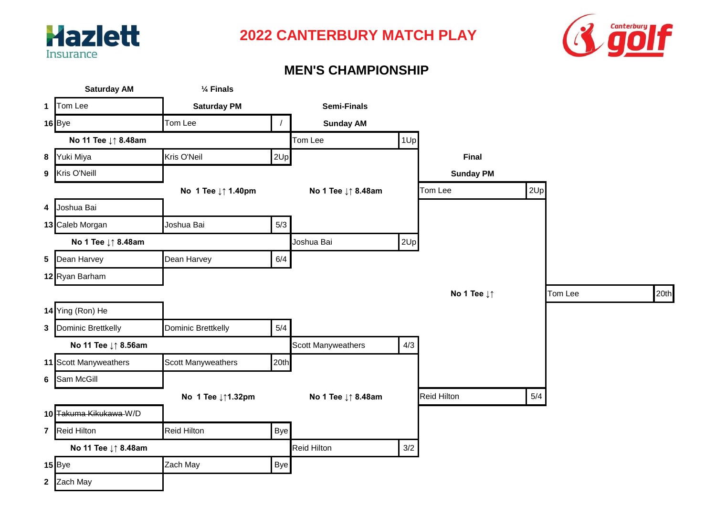



#### **MEN'S CHAMPIONSHIP**

|   | <b>Saturday AM</b>     | 1/ <sub>4</sub> Finals |            |                           |       |                                |     |         |      |
|---|------------------------|------------------------|------------|---------------------------|-------|--------------------------------|-----|---------|------|
|   | 1 Tom Lee              | <b>Saturday PM</b>     |            | <b>Semi-Finals</b>        |       |                                |     |         |      |
|   | $16$ Bye               | Tom Lee                | $\sqrt{2}$ | <b>Sunday AM</b>          |       |                                |     |         |      |
|   | No 11 Tee ↓↑ 8.48am    |                        |            | Tom Lee                   | 1Up   |                                |     |         |      |
|   | 8 Yuki Miya            | Kris O'Neil            | 2Up        |                           |       | Final                          |     |         |      |
| 9 | Kris O'Neill           |                        |            |                           |       | <b>Sunday PM</b>               |     |         |      |
|   |                        | No 1 Tee ↓↑ 1.40pm     |            | No 1 Tee ↓↑ 8.48am        |       | Tom Lee                        | 2Up |         |      |
|   | 4 Joshua Bai           |                        |            |                           |       |                                |     |         |      |
|   | 13 Caleb Morgan        | Joshua Bai             | 5/3        |                           |       |                                |     |         |      |
|   | No 1 Tee ↓↑ 8.48am     |                        |            | Joshua Bai                | 2Up   |                                |     |         |      |
| 5 | Dean Harvey            | Dean Harvey            | 6/4        |                           |       |                                |     |         |      |
|   | 12 Ryan Barham         |                        |            |                           |       |                                |     |         |      |
|   |                        |                        |            |                           |       | No 1 Tee $\downarrow \uparrow$ |     | Tom Lee | 20th |
|   | 14 Ying (Ron) He       |                        |            |                           |       |                                |     |         |      |
|   | 3 Dominic Brettkelly   | Dominic Brettkelly     | 5/4        |                           |       |                                |     |         |      |
|   | No 11 Tee ↓↑ 8.56am    |                        |            | <b>Scott Manyweathers</b> | 4/3   |                                |     |         |      |
|   | 11 Scott Manyweathers  | Scott Manyweathers     | 20th       |                           |       |                                |     |         |      |
| 6 | Sam McGill             |                        |            |                           |       |                                |     |         |      |
|   |                        | No 1 Tee ↓↑1.32pm      |            | No 1 Tee ↓↑ 8.48am        |       | <b>Reid Hilton</b>             | 5/4 |         |      |
|   | 10 Takuma Kikukawa-W/D |                        |            |                           |       |                                |     |         |      |
|   | 7 Reid Hilton          | <b>Reid Hilton</b>     | Bye        |                           |       |                                |     |         |      |
|   | No 11 Tee ↓↑ 8.48am    |                        |            | <b>Reid Hilton</b>        | $3/2$ |                                |     |         |      |
|   | 15 Bye                 | Zach May               | Bye        |                           |       |                                |     |         |      |
|   | 2 Zach May             |                        |            |                           |       |                                |     |         |      |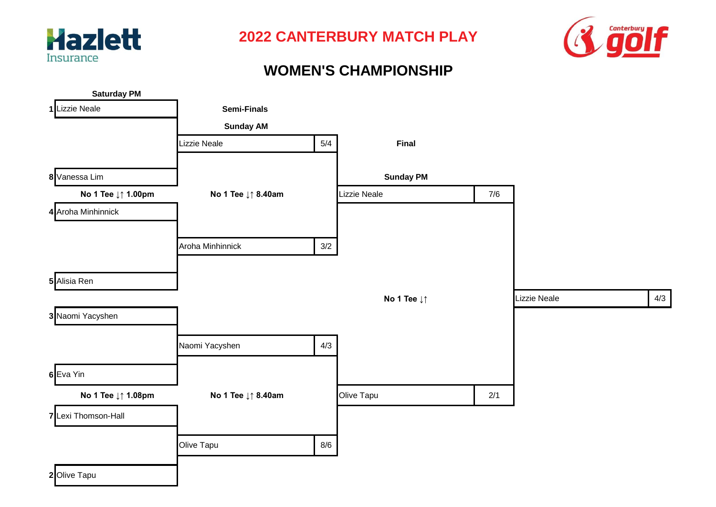



#### **WOMEN'S CHAMPIONSHIP**

| <b>Saturday PM</b>  |                    |       |                  |       |              |     |
|---------------------|--------------------|-------|------------------|-------|--------------|-----|
| 1 Lizzie Neale      | <b>Semi-Finals</b> |       |                  |       |              |     |
|                     | <b>Sunday AM</b>   |       |                  |       |              |     |
|                     | Lizzie Neale       | 5/4   | Final            |       |              |     |
|                     |                    |       |                  |       |              |     |
| 8 Vanessa Lim       |                    |       | <b>Sunday PM</b> |       |              |     |
| No 1 Tee ↓↑ 1.00pm  | No 1 Tee ↓↑ 8.40am |       | Lizzie Neale     | $7/6$ |              |     |
| 4 Aroha Minhinnick  |                    |       |                  |       |              |     |
|                     | Aroha Minhinnick   | $3/2$ |                  |       |              |     |
|                     |                    |       |                  |       |              |     |
| 5 Alisia Ren        |                    |       |                  |       |              |     |
|                     |                    |       | No 1 Tee ↓↑      |       | Lizzie Neale | 4/3 |
| 3 Naomi Yacyshen    |                    |       |                  |       |              |     |
|                     | Naomi Yacyshen     | 4/3   |                  |       |              |     |
| 6 Eva Yin           |                    |       |                  |       |              |     |
| No 1 Tee ↓↑ 1.08pm  | No 1 Tee ↓↑ 8.40am |       | Olive Tapu       | 2/1   |              |     |
| 7 Lexi Thomson-Hall |                    |       |                  |       |              |     |
|                     | Olive Tapu         | 8/6   |                  |       |              |     |
| 2 Olive Tapu        |                    |       |                  |       |              |     |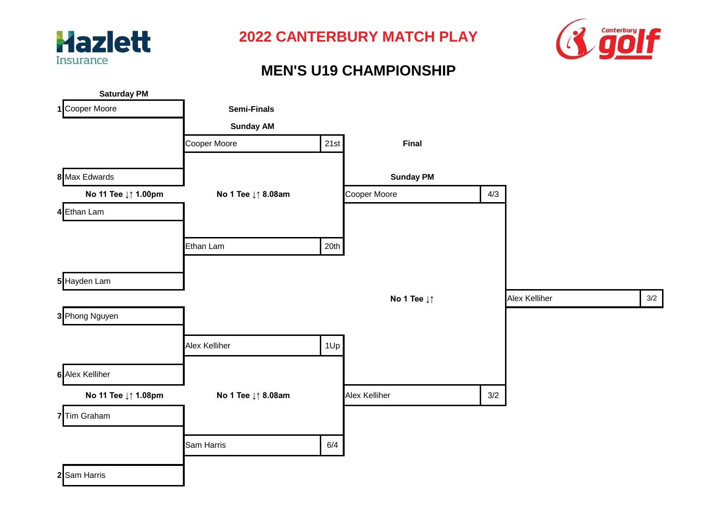



# **MEN'S U19 CHAMPIONSHIP**

| <b>Saturday PM</b>  |                    |      |                  |       |               |     |
|---------------------|--------------------|------|------------------|-------|---------------|-----|
| 1 Cooper Moore      | <b>Semi-Finals</b> |      |                  |       |               |     |
|                     | <b>Sunday AM</b>   |      |                  |       |               |     |
|                     | Cooper Moore       | 21st | <b>Final</b>     |       |               |     |
| 8 Max Edwards       |                    |      | <b>Sunday PM</b> |       |               |     |
| No 11 Tee ↓↑ 1.00pm | No 1 Tee ↓↑ 8.08am |      | Cooper Moore     | 4/3   |               |     |
| 4 Ethan Lam         |                    |      |                  |       |               |     |
|                     | Ethan Lam          | 20th |                  |       |               |     |
|                     |                    |      |                  |       |               |     |
| 5 Hayden Lam        |                    |      |                  |       |               |     |
|                     |                    |      | No 1 Tee ↓↑      |       | Alex Kelliher | 3/2 |
| 3 Phong Nguyen      |                    |      |                  |       |               |     |
|                     | Alex Kelliher      | 1Up  |                  |       |               |     |
| 6 Alex Kelliher     |                    |      |                  |       |               |     |
| No 11 Tee ↓↑ 1.08pm | No 1 Tee ↓↑ 8.08am |      | Alex Kelliher    | $3/2$ |               |     |
| 7 Tim Graham        |                    |      |                  |       |               |     |
|                     | Sam Harris         | 6/4  |                  |       |               |     |
| 2 Sam Harris        |                    |      |                  |       |               |     |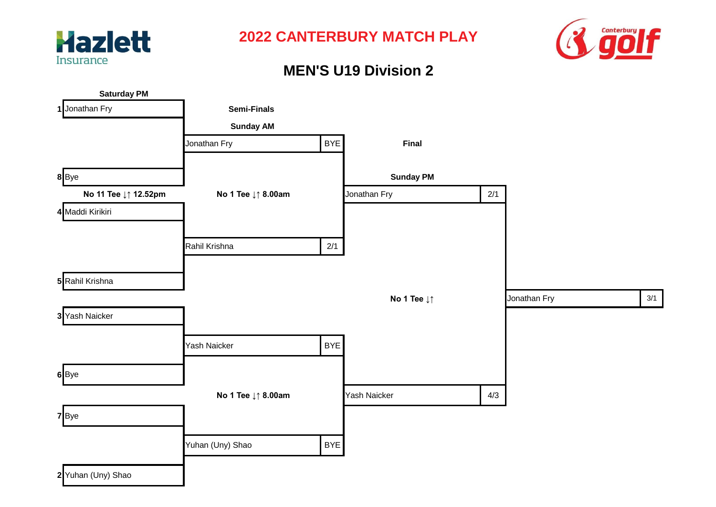



# **MEN'S U19 Division 2**

| <b>Saturday PM</b>   |                    |            |                                |     |              |     |
|----------------------|--------------------|------------|--------------------------------|-----|--------------|-----|
| 1 Jonathan Fry       | <b>Semi-Finals</b> |            |                                |     |              |     |
|                      | <b>Sunday AM</b>   |            |                                |     |              |     |
|                      | Jonathan Fry       | <b>BYE</b> | Final                          |     |              |     |
|                      |                    |            |                                |     |              |     |
| 8Bye                 |                    |            | <b>Sunday PM</b>               |     |              |     |
| No 11 Tee ↓↑ 12.52pm | No 1 Tee ↓↑ 8.00am |            | Jonathan Fry                   | 2/1 |              |     |
| 4 Maddi Kirikiri     |                    |            |                                |     |              |     |
|                      |                    |            |                                |     |              |     |
|                      | Rahil Krishna      | 2/1        |                                |     |              |     |
|                      |                    |            |                                |     |              |     |
| 5 Rahil Krishna      |                    |            |                                |     |              |     |
|                      |                    |            | No 1 Tee $\downarrow \uparrow$ |     | Jonathan Fry | 3/1 |
| 3 Yash Naicker       |                    |            |                                |     |              |     |
|                      |                    |            |                                |     |              |     |
|                      | Yash Naicker       | <b>BYE</b> |                                |     |              |     |
| 6Bye                 |                    |            |                                |     |              |     |
|                      | No 1 Tee ↓↑ 8.00am |            | Yash Naicker                   | 4/3 |              |     |
|                      |                    |            |                                |     |              |     |
| 7 Bye                |                    |            |                                |     |              |     |
|                      | Yuhan (Uny) Shao   | <b>BYE</b> |                                |     |              |     |
|                      |                    |            |                                |     |              |     |
| 2 Yuhan (Uny) Shao   |                    |            |                                |     |              |     |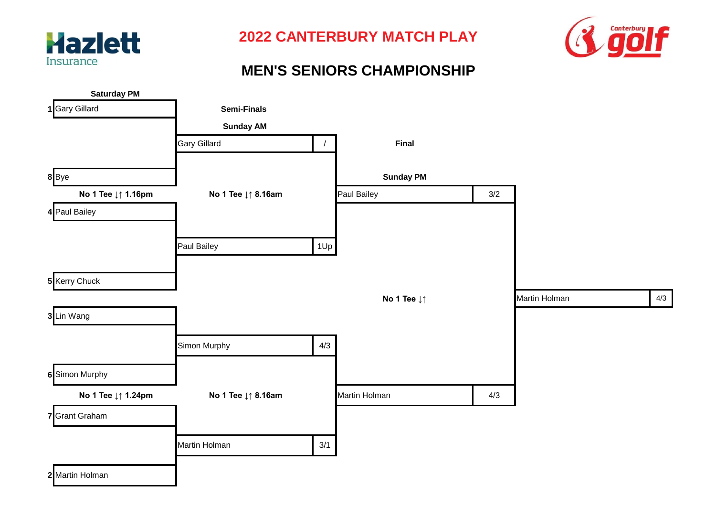



#### **MEN'S SENIORS CHAMPIONSHIP**

| <b>Saturday PM</b> |                    |            |                                |     |               |     |
|--------------------|--------------------|------------|--------------------------------|-----|---------------|-----|
| 1 Gary Gillard     | Semi-Finals        |            |                                |     |               |     |
|                    | <b>Sunday AM</b>   |            |                                |     |               |     |
|                    | Gary Gillard       | $\sqrt{2}$ | Final                          |     |               |     |
| $8$ Bye            |                    |            | <b>Sunday PM</b>               |     |               |     |
| No 1 Tee ↓↑ 1.16pm | No 1 Tee ↓↑ 8.16am |            | Paul Bailey                    | 3/2 |               |     |
| 4 Paul Bailey      |                    |            |                                |     |               |     |
|                    | Paul Bailey        |            |                                |     |               |     |
|                    |                    | 1Up        |                                |     |               |     |
| 5 Kerry Chuck      |                    |            |                                |     |               |     |
|                    |                    |            | No 1 Tee $\downarrow \uparrow$ |     | Martin Holman | 4/3 |
| 3 Lin Wang         |                    |            |                                |     |               |     |
|                    | Simon Murphy       | 4/3        |                                |     |               |     |
| 6 Simon Murphy     |                    |            |                                |     |               |     |
| No 1 Tee ↓↑ 1.24pm | No 1 Tee ↓↑ 8.16am |            | Martin Holman                  | 4/3 |               |     |
| 7 Grant Graham     |                    |            |                                |     |               |     |
|                    | Martin Holman      | 3/1        |                                |     |               |     |
| 2 Martin Holman    |                    |            |                                |     |               |     |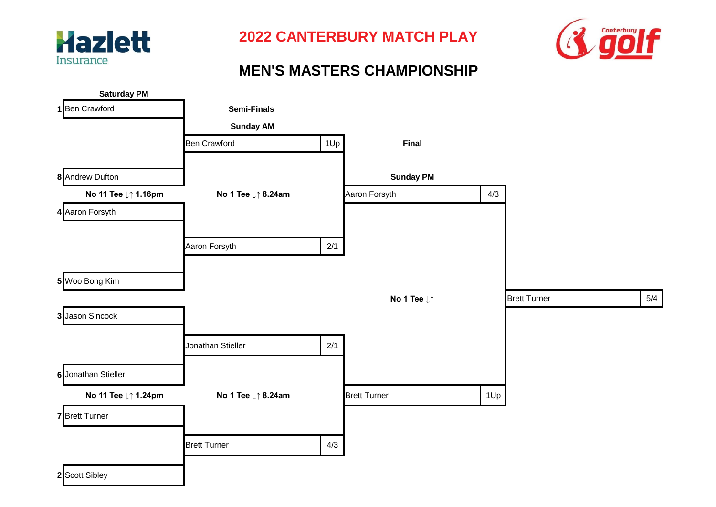



# **MEN'S MASTERS CHAMPIONSHIP**

| <b>Saturday PM</b>    |                     |     |                     |     |                     |     |
|-----------------------|---------------------|-----|---------------------|-----|---------------------|-----|
| 1 Ben Crawford        | <b>Semi-Finals</b>  |     |                     |     |                     |     |
|                       | <b>Sunday AM</b>    |     |                     |     |                     |     |
|                       | <b>Ben Crawford</b> | 1Up | Final               |     |                     |     |
| 8 Andrew Dufton       |                     |     | <b>Sunday PM</b>    |     |                     |     |
| No 11 Tee ↓↑ 1.16pm   | No 1 Tee ↓↑ 8.24am  |     | Aaron Forsyth       | 4/3 |                     |     |
| 4 Aaron Forsyth       |                     |     |                     |     |                     |     |
|                       | Aaron Forsyth       | 2/1 |                     |     |                     |     |
| 5 Woo Bong Kim        |                     |     |                     |     |                     |     |
|                       |                     |     | No 1 Tee ↓↑         |     | <b>Brett Turner</b> | 5/4 |
| 3 Jason Sincock       |                     |     |                     |     |                     |     |
|                       | Jonathan Stieller   | 2/1 |                     |     |                     |     |
| 6 Jonathan Stieller   |                     |     |                     |     |                     |     |
| No 11 Tee ↓↑ 1.24pm   | No 1 Tee ↓↑ 8.24am  |     | <b>Brett Turner</b> | 1Up |                     |     |
| <b>7</b> Brett Turner |                     |     |                     |     |                     |     |
|                       | <b>Brett Turner</b> | 4/3 |                     |     |                     |     |
| 2 Scott Sibley        |                     |     |                     |     |                     |     |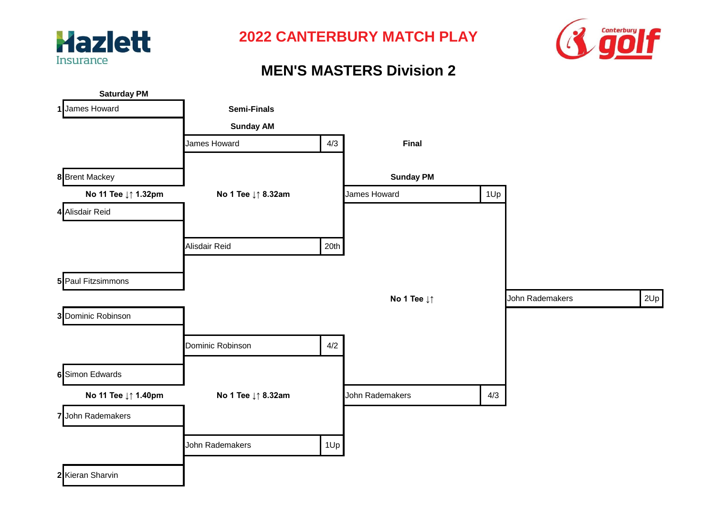



## **MEN'S MASTERS Division 2**

| <b>Saturday PM</b>    |                    |      |                                |     |                 |     |
|-----------------------|--------------------|------|--------------------------------|-----|-----------------|-----|
| 1 James Howard        | <b>Semi-Finals</b> |      |                                |     |                 |     |
|                       | <b>Sunday AM</b>   |      |                                |     |                 |     |
|                       | James Howard       | 4/3  | Final                          |     |                 |     |
| <b>8</b> Brent Mackey |                    |      | <b>Sunday PM</b>               |     |                 |     |
| No 11 Tee ↓↑ 1.32pm   | No 1 Tee ↓↑ 8.32am |      | James Howard                   | 1Up |                 |     |
| 4 Alisdair Reid       |                    |      |                                |     |                 |     |
|                       | Alisdair Reid      | 20th |                                |     |                 |     |
| 5 Paul Fitzsimmons    |                    |      |                                |     |                 |     |
|                       |                    |      | No 1 Tee $\downarrow \uparrow$ |     | John Rademakers | 2Up |
| 3 Dominic Robinson    |                    |      |                                |     |                 |     |
|                       | Dominic Robinson   | 4/2  |                                |     |                 |     |
| 6 Simon Edwards       |                    |      |                                |     |                 |     |
| No 11 Tee ↓↑ 1.40pm   | No 1 Tee ↓↑ 8.32am |      | John Rademakers                | 4/3 |                 |     |
| 7 John Rademakers     |                    |      |                                |     |                 |     |
|                       | John Rademakers    | 1Up  |                                |     |                 |     |
| 2 Kieran Sharvin      |                    |      |                                |     |                 |     |